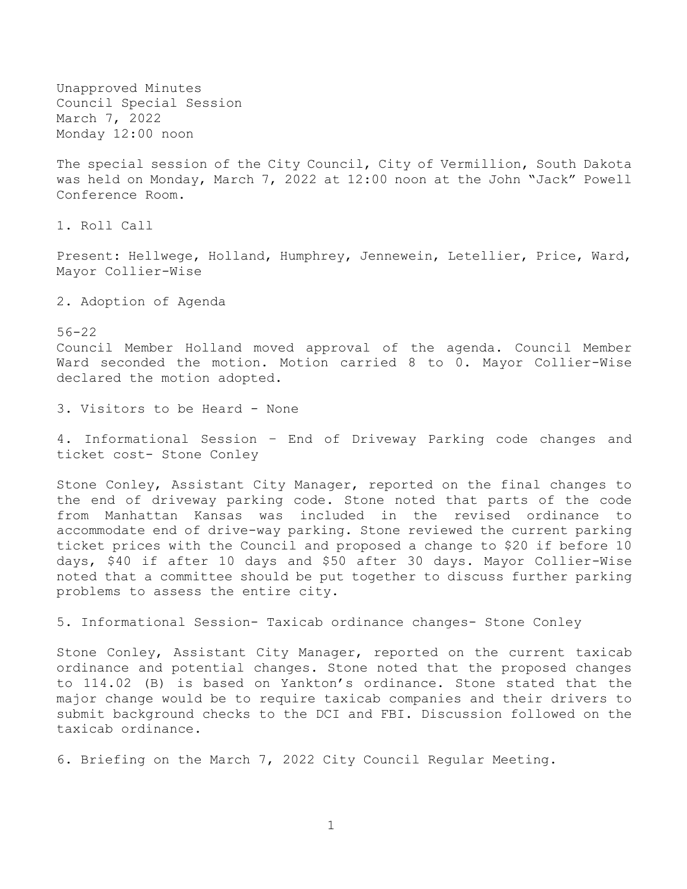Unapproved Minutes Council Special Session March 7, 2022 Monday 12:00 noon

The special session of the City Council, City of Vermillion, South Dakota was held on Monday, March 7, 2022 at 12:00 noon at the John "Jack" Powell Conference Room.

1. Roll Call

Present: Hellwege, Holland, Humphrey, Jennewein, Letellier, Price, Ward, Mayor Collier-Wise

2. Adoption of Agenda

56-22

Council Member Holland moved approval of the agenda. Council Member Ward seconded the motion. Motion carried 8 to 0. Mayor Collier-Wise declared the motion adopted.

3. Visitors to be Heard - None

4. Informational Session – End of Driveway Parking code changes and ticket cost- Stone Conley

Stone Conley, Assistant City Manager, reported on the final changes to the end of driveway parking code. Stone noted that parts of the code from Manhattan Kansas was included in the revised ordinance to accommodate end of drive-way parking. Stone reviewed the current parking ticket prices with the Council and proposed a change to \$20 if before 10 days, \$40 if after 10 days and \$50 after 30 days. Mayor Collier-Wise noted that a committee should be put together to discuss further parking problems to assess the entire city.

5. Informational Session- Taxicab ordinance changes- Stone Conley

Stone Conley, Assistant City Manager, reported on the current taxicab ordinance and potential changes. Stone noted that the proposed changes to 114.02 (B) is based on Yankton's ordinance. Stone stated that the major change would be to require taxicab companies and their drivers to submit background checks to the DCI and FBI. Discussion followed on the taxicab ordinance.

6. Briefing on the March 7, 2022 City Council Regular Meeting.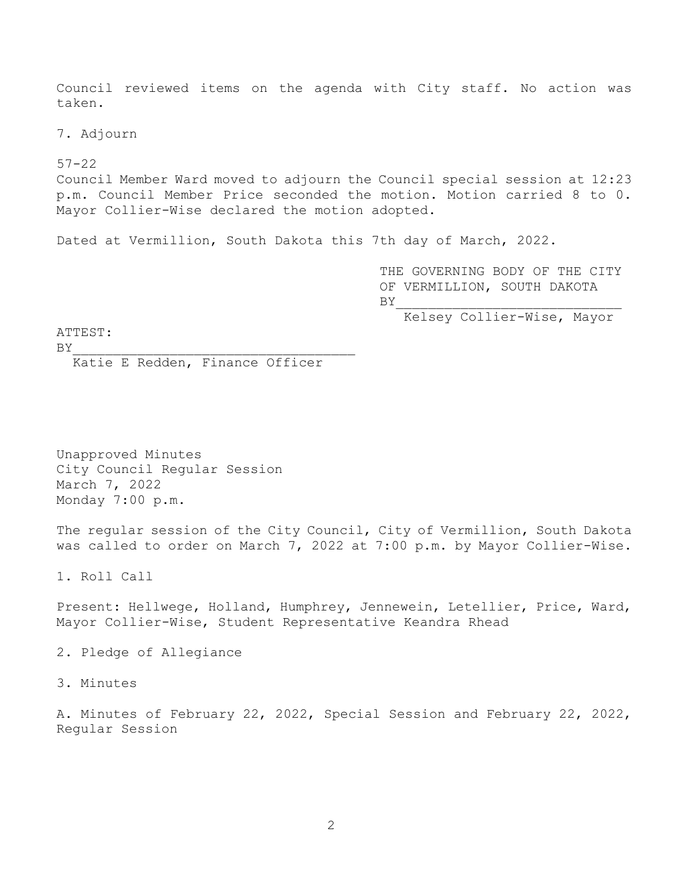Council reviewed items on the agenda with City staff. No action was taken.

7. Adjourn

 $57 - 22$ 

Council Member Ward moved to adjourn the Council special session at 12:23 p.m. Council Member Price seconded the motion. Motion carried 8 to 0. Mayor Collier-Wise declared the motion adopted.

Dated at Vermillion, South Dakota this 7th day of March, 2022.

THE GOVERNING BODY OF THE CITY OF VERMILLION, SOUTH DAKOTA  $BY$ 

Kelsey Collier-Wise, Mayor

ATTEST:

 $BY$ 

Katie E Redden, Finance Officer

Unapproved Minutes City Council Regular Session March 7, 2022 Monday 7:00 p.m.

The regular session of the City Council, City of Vermillion, South Dakota was called to order on March 7, 2022 at 7:00 p.m. by Mayor Collier-Wise.

1. Roll Call

Present: Hellwege, Holland, Humphrey, Jennewein, Letellier, Price, Ward, Mayor Collier-Wise, Student Representative Keandra Rhead

2. Pledge of Allegiance

3. Minutes

A. Minutes of February 22, 2022, Special Session and February 22, 2022, Regular Session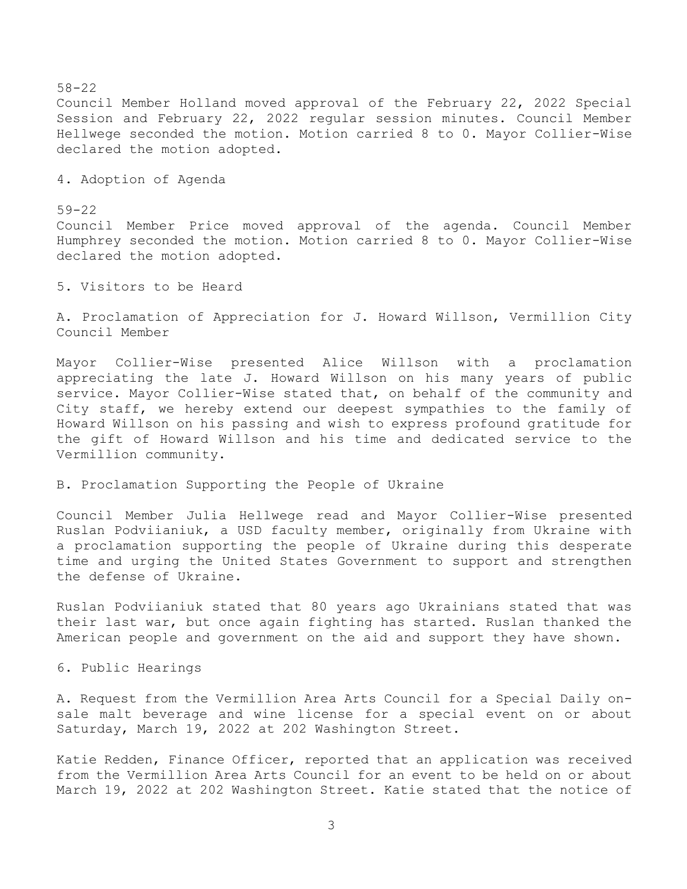58-22 Council Member Holland moved approval of the February 22, 2022 Special Session and February 22, 2022 regular session minutes. Council Member Hellwege seconded the motion. Motion carried 8 to 0. Mayor Collier-Wise declared the motion adopted.

4. Adoption of Agenda

59-22 Council Member Price moved approval of the agenda. Council Member Humphrey seconded the motion. Motion carried 8 to 0. Mayor Collier-Wise declared the motion adopted.

5. Visitors to be Heard

A. Proclamation of Appreciation for J. Howard Willson, Vermillion City Council Member

Mayor Collier-Wise presented Alice Willson with a proclamation appreciating the late J. Howard Willson on his many years of public service. Mayor Collier-Wise stated that, on behalf of the community and City staff, we hereby extend our deepest sympathies to the family of Howard Willson on his passing and wish to express profound gratitude for the gift of Howard Willson and his time and dedicated service to the Vermillion community.

B. Proclamation Supporting the People of Ukraine

Council Member Julia Hellwege read and Mayor Collier-Wise presented Ruslan Podviianiuk, a USD faculty member, originally from Ukraine with a proclamation supporting the people of Ukraine during this desperate time and urging the United States Government to support and strengthen the defense of Ukraine.

Ruslan Podviianiuk stated that 80 years ago Ukrainians stated that was their last war, but once again fighting has started. Ruslan thanked the American people and government on the aid and support they have shown.

6. Public Hearings

A. Request from the Vermillion Area Arts Council for a Special Daily onsale malt beverage and wine license for a special event on or about Saturday, March 19, 2022 at 202 Washington Street.

Katie Redden, Finance Officer, reported that an application was received from the Vermillion Area Arts Council for an event to be held on or about March 19, 2022 at 202 Washington Street. Katie stated that the notice of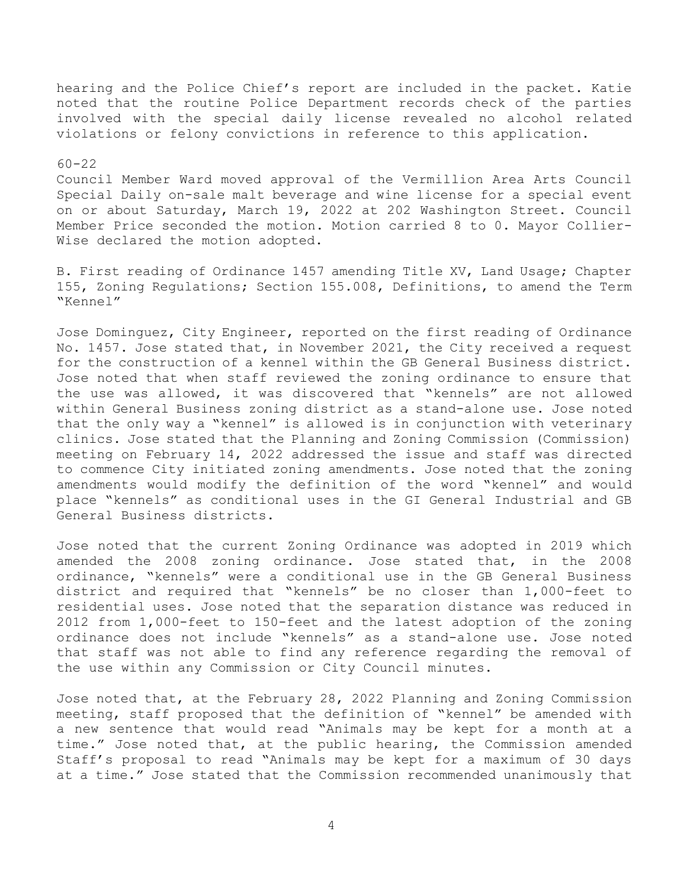hearing and the Police Chief's report are included in the packet. Katie noted that the routine Police Department records check of the parties involved with the special daily license revealed no alcohol related violations or felony convictions in reference to this application.

# 60-22

Council Member Ward moved approval of the Vermillion Area Arts Council Special Daily on-sale malt beverage and wine license for a special event on or about Saturday, March 19, 2022 at 202 Washington Street. Council Member Price seconded the motion. Motion carried 8 to 0. Mayor Collier-Wise declared the motion adopted.

B. First reading of Ordinance 1457 amending Title XV, Land Usage; Chapter 155, Zoning Regulations; Section 155.008, Definitions, to amend the Term "Kennel"

Jose Dominguez, City Engineer, reported on the first reading of Ordinance No. 1457. Jose stated that, in November 2021, the City received a request for the construction of a kennel within the GB General Business district. Jose noted that when staff reviewed the zoning ordinance to ensure that the use was allowed, it was discovered that "kennels" are not allowed within General Business zoning district as a stand-alone use. Jose noted that the only way a "kennel" is allowed is in conjunction with veterinary clinics. Jose stated that the Planning and Zoning Commission (Commission) meeting on February 14, 2022 addressed the issue and staff was directed to commence City initiated zoning amendments. Jose noted that the zoning amendments would modify the definition of the word "kennel" and would place "kennels" as conditional uses in the GI General Industrial and GB General Business districts.

Jose noted that the current Zoning Ordinance was adopted in 2019 which amended the 2008 zoning ordinance. Jose stated that, in the 2008 ordinance, "kennels" were a conditional use in the GB General Business district and required that "kennels" be no closer than 1,000-feet to residential uses. Jose noted that the separation distance was reduced in 2012 from 1,000-feet to 150-feet and the latest adoption of the zoning ordinance does not include "kennels" as a stand-alone use. Jose noted that staff was not able to find any reference regarding the removal of the use within any Commission or City Council minutes.

Jose noted that, at the February 28, 2022 Planning and Zoning Commission meeting, staff proposed that the definition of "kennel" be amended with a new sentence that would read "Animals may be kept for a month at a time." Jose noted that, at the public hearing, the Commission amended Staff's proposal to read "Animals may be kept for a maximum of 30 days at a time." Jose stated that the Commission recommended unanimously that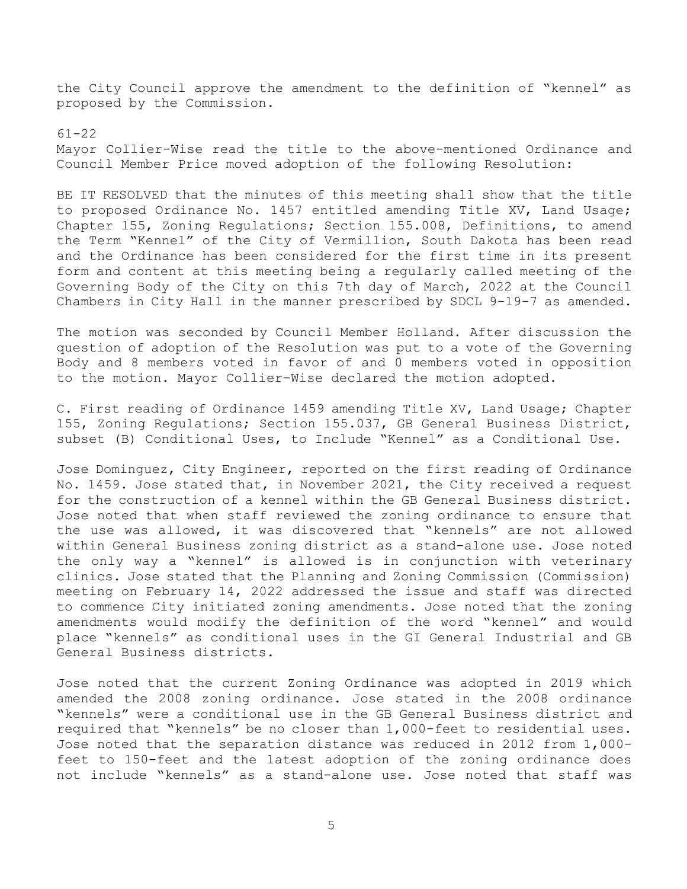the City Council approve the amendment to the definition of "kennel" as proposed by the Commission.

### 61-22

Mayor Collier-Wise read the title to the above-mentioned Ordinance and Council Member Price moved adoption of the following Resolution:

BE IT RESOLVED that the minutes of this meeting shall show that the title to proposed Ordinance No. 1457 entitled amending Title XV, Land Usage; Chapter 155, Zoning Regulations; Section 155.008, Definitions, to amend the Term "Kennel" of the City of Vermillion, South Dakota has been read and the Ordinance has been considered for the first time in its present form and content at this meeting being a regularly called meeting of the Governing Body of the City on this 7th day of March, 2022 at the Council Chambers in City Hall in the manner prescribed by SDCL 9-19-7 as amended.

The motion was seconded by Council Member Holland. After discussion the question of adoption of the Resolution was put to a vote of the Governing Body and 8 members voted in favor of and 0 members voted in opposition to the motion. Mayor Collier-Wise declared the motion adopted.

C. First reading of Ordinance 1459 amending Title XV, Land Usage; Chapter 155, Zoning Regulations; Section 155.037, GB General Business District, subset (B) Conditional Uses, to Include "Kennel" as a Conditional Use.

Jose Dominguez, City Engineer, reported on the first reading of Ordinance No. 1459. Jose stated that, in November 2021, the City received a request for the construction of a kennel within the GB General Business district. Jose noted that when staff reviewed the zoning ordinance to ensure that the use was allowed, it was discovered that "kennels" are not allowed within General Business zoning district as a stand-alone use. Jose noted the only way a "kennel" is allowed is in conjunction with veterinary clinics. Jose stated that the Planning and Zoning Commission (Commission) meeting on February 14, 2022 addressed the issue and staff was directed to commence City initiated zoning amendments. Jose noted that the zoning amendments would modify the definition of the word "kennel" and would place "kennels" as conditional uses in the GI General Industrial and GB General Business districts.

Jose noted that the current Zoning Ordinance was adopted in 2019 which amended the 2008 zoning ordinance. Jose stated in the 2008 ordinance "kennels" were a conditional use in the GB General Business district and required that "kennels" be no closer than 1,000-feet to residential uses. Jose noted that the separation distance was reduced in 2012 from 1,000 feet to 150-feet and the latest adoption of the zoning ordinance does not include "kennels" as a stand-alone use. Jose noted that staff was

5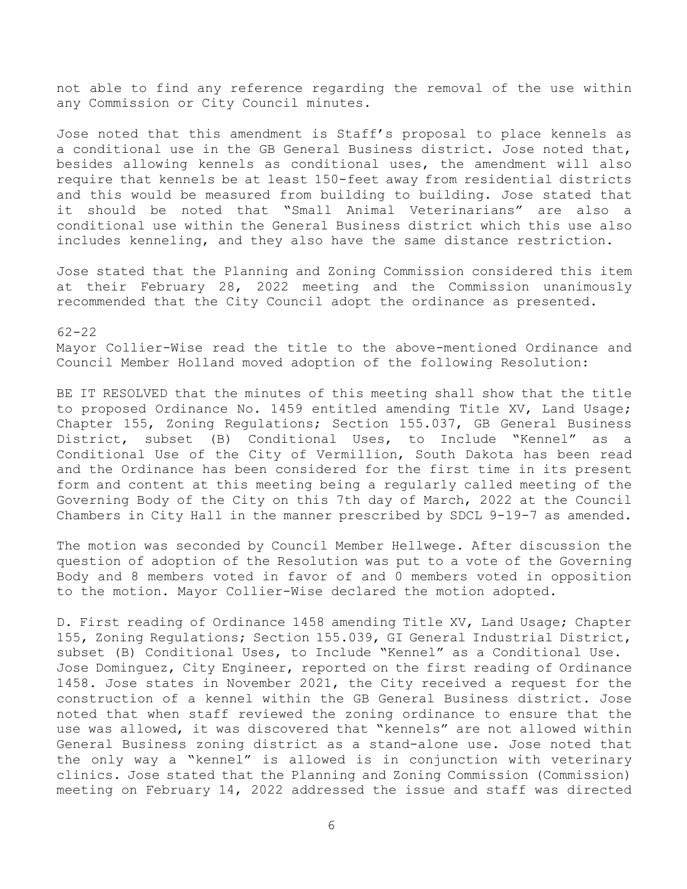not able to find any reference regarding the removal of the use within any Commission or City Council minutes.

Jose noted that this amendment is Staff's proposal to place kennels as a conditional use in the GB General Business district. Jose noted that, besides allowing kennels as conditional uses, the amendment will also require that kennels be at least 150-feet away from residential districts and this would be measured from building to building. Jose stated that it should be noted that "Small Animal Veterinarians" are also a conditional use within the General Business district which this use also includes kenneling, and they also have the same distance restriction.

Jose stated that the Planning and Zoning Commission considered this item at their February 28, 2022 meeting and the Commission unanimously recommended that the City Council adopt the ordinance as presented.

#### 62-22

Mayor Collier-Wise read the title to the above-mentioned Ordinance and Council Member Holland moved adoption of the following Resolution:

BE IT RESOLVED that the minutes of this meeting shall show that the title to proposed Ordinance No. 1459 entitled amending Title XV, Land Usage; Chapter 155, Zoning Regulations; Section 155.037, GB General Business District, subset (B) Conditional Uses, to Include "Kennel" as a Conditional Use of the City of Vermillion, South Dakota has been read and the Ordinance has been considered for the first time in its present form and content at this meeting being a regularly called meeting of the Governing Body of the City on this 7th day of March, 2022 at the Council Chambers in City Hall in the manner prescribed by SDCL 9-19-7 as amended.

The motion was seconded by Council Member Hellwege. After discussion the question of adoption of the Resolution was put to a vote of the Governing Body and 8 members voted in favor of and 0 members voted in opposition to the motion. Mayor Collier-Wise declared the motion adopted.

D. First reading of Ordinance 1458 amending Title XV, Land Usage; Chapter 155, Zoning Regulations; Section 155.039, GI General Industrial District, subset (B) Conditional Uses, to Include "Kennel" as a Conditional Use. Jose Dominguez, City Engineer, reported on the first reading of Ordinance 1458. Jose states in November 2021, the City received a request for the construction of a kennel within the GB General Business district. Jose noted that when staff reviewed the zoning ordinance to ensure that the use was allowed, it was discovered that "kennels" are not allowed within General Business zoning district as a stand-alone use. Jose noted that the only way a "kennel" is allowed is in conjunction with veterinary clinics. Jose stated that the Planning and Zoning Commission (Commission) meeting on February 14, 2022 addressed the issue and staff was directed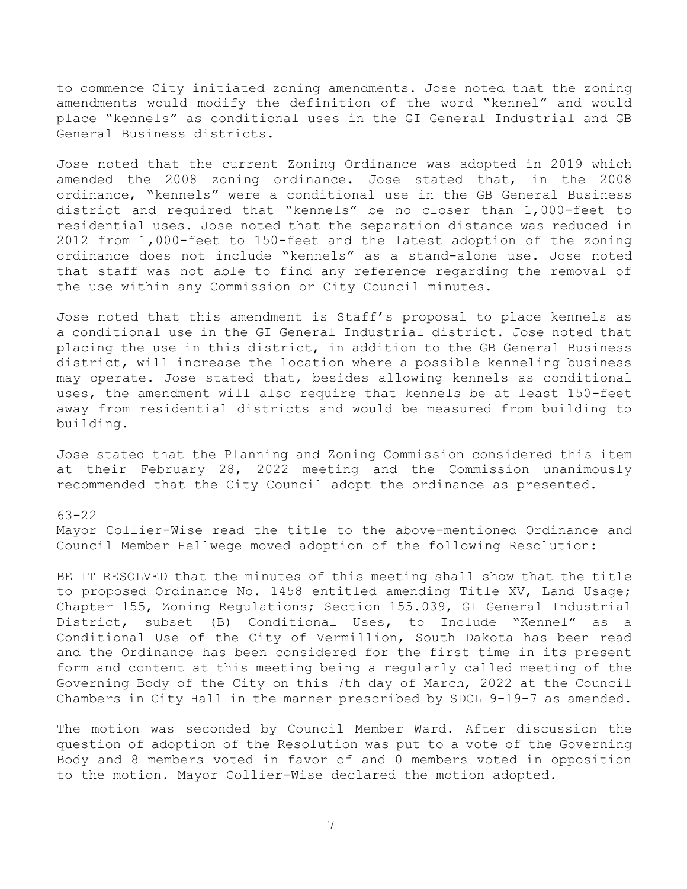to commence City initiated zoning amendments. Jose noted that the zoning amendments would modify the definition of the word "kennel" and would place "kennels" as conditional uses in the GI General Industrial and GB General Business districts.

Jose noted that the current Zoning Ordinance was adopted in 2019 which amended the 2008 zoning ordinance. Jose stated that, in the 2008 ordinance, "kennels" were a conditional use in the GB General Business district and required that "kennels" be no closer than 1,000-feet to residential uses. Jose noted that the separation distance was reduced in 2012 from 1,000-feet to 150-feet and the latest adoption of the zoning ordinance does not include "kennels" as a stand-alone use. Jose noted that staff was not able to find any reference regarding the removal of the use within any Commission or City Council minutes.

Jose noted that this amendment is Staff's proposal to place kennels as a conditional use in the GI General Industrial district. Jose noted that placing the use in this district, in addition to the GB General Business district, will increase the location where a possible kenneling business may operate. Jose stated that, besides allowing kennels as conditional uses, the amendment will also require that kennels be at least 150-feet away from residential districts and would be measured from building to building.

Jose stated that the Planning and Zoning Commission considered this item at their February 28, 2022 meeting and the Commission unanimously recommended that the City Council adopt the ordinance as presented.

### 63-22

Mayor Collier-Wise read the title to the above-mentioned Ordinance and Council Member Hellwege moved adoption of the following Resolution:

BE IT RESOLVED that the minutes of this meeting shall show that the title to proposed Ordinance No. 1458 entitled amending Title XV, Land Usage; Chapter 155, Zoning Regulations; Section 155.039, GI General Industrial District, subset (B) Conditional Uses, to Include "Kennel" as a Conditional Use of the City of Vermillion, South Dakota has been read and the Ordinance has been considered for the first time in its present form and content at this meeting being a regularly called meeting of the Governing Body of the City on this 7th day of March, 2022 at the Council Chambers in City Hall in the manner prescribed by SDCL 9-19-7 as amended.

The motion was seconded by Council Member Ward. After discussion the question of adoption of the Resolution was put to a vote of the Governing Body and 8 members voted in favor of and 0 members voted in opposition to the motion. Mayor Collier-Wise declared the motion adopted.

7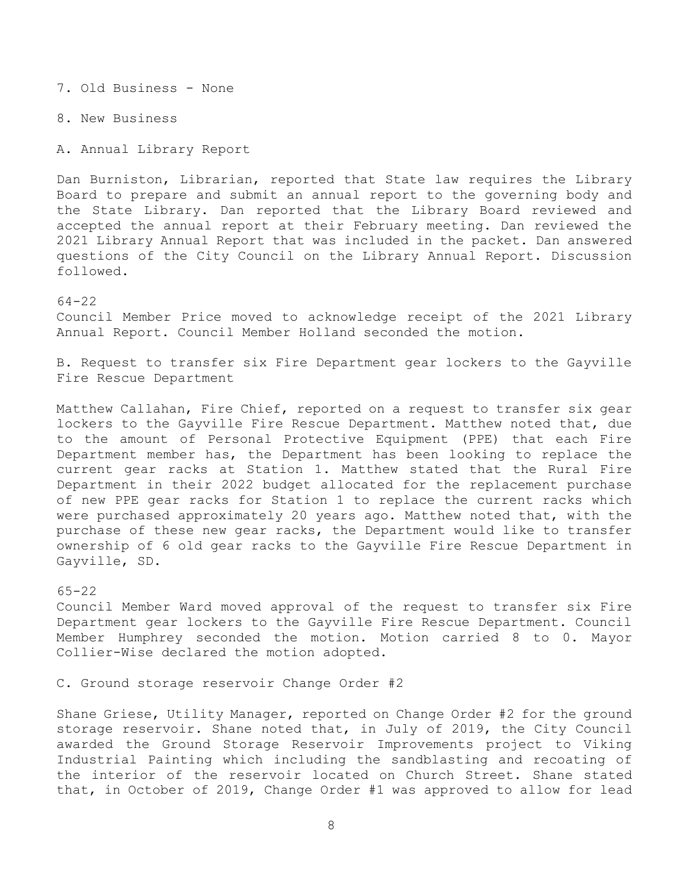7. Old Business - None

8. New Business

A. Annual Library Report

Dan Burniston, Librarian, reported that State law requires the Library Board to prepare and submit an annual report to the governing body and the State Library. Dan reported that the Library Board reviewed and accepted the annual report at their February meeting. Dan reviewed the 2021 Library Annual Report that was included in the packet. Dan answered questions of the City Council on the Library Annual Report. Discussion followed.

64-22

Council Member Price moved to acknowledge receipt of the 2021 Library Annual Report. Council Member Holland seconded the motion.

B. Request to transfer six Fire Department gear lockers to the Gayville Fire Rescue Department

Matthew Callahan, Fire Chief, reported on a request to transfer six gear lockers to the Gayville Fire Rescue Department. Matthew noted that, due to the amount of Personal Protective Equipment (PPE) that each Fire Department member has, the Department has been looking to replace the current gear racks at Station 1. Matthew stated that the Rural Fire Department in their 2022 budget allocated for the replacement purchase of new PPE gear racks for Station 1 to replace the current racks which were purchased approximately 20 years ago. Matthew noted that, with the purchase of these new gear racks, the Department would like to transfer ownership of 6 old gear racks to the Gayville Fire Rescue Department in Gayville, SD.

# 65-22

Council Member Ward moved approval of the request to transfer six Fire Department gear lockers to the Gayville Fire Rescue Department. Council Member Humphrey seconded the motion. Motion carried 8 to 0. Mayor Collier-Wise declared the motion adopted.

C. Ground storage reservoir Change Order #2

Shane Griese, Utility Manager, reported on Change Order #2 for the ground storage reservoir. Shane noted that, in July of 2019, the City Council awarded the Ground Storage Reservoir Improvements project to Viking Industrial Painting which including the sandblasting and recoating of the interior of the reservoir located on Church Street. Shane stated that, in October of 2019, Change Order #1 was approved to allow for lead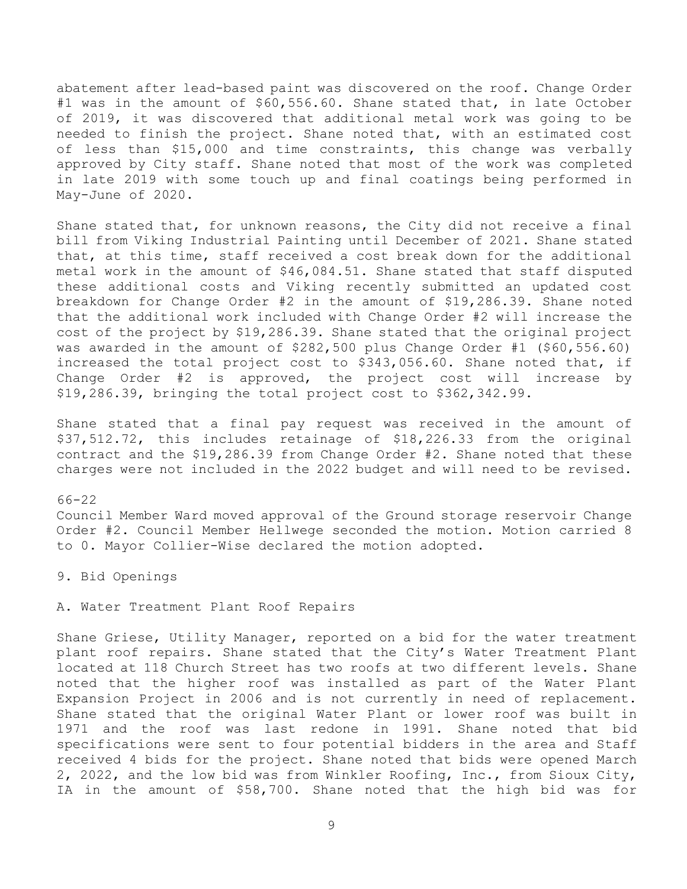abatement after lead-based paint was discovered on the roof. Change Order #1 was in the amount of \$60,556.60. Shane stated that, in late October of 2019, it was discovered that additional metal work was going to be needed to finish the project. Shane noted that, with an estimated cost of less than \$15,000 and time constraints, this change was verbally approved by City staff. Shane noted that most of the work was completed in late 2019 with some touch up and final coatings being performed in May-June of 2020.

Shane stated that, for unknown reasons, the City did not receive a final bill from Viking Industrial Painting until December of 2021. Shane stated that, at this time, staff received a cost break down for the additional metal work in the amount of \$46,084.51. Shane stated that staff disputed these additional costs and Viking recently submitted an updated cost breakdown for Change Order #2 in the amount of \$19,286.39. Shane noted that the additional work included with Change Order #2 will increase the cost of the project by \$19,286.39. Shane stated that the original project was awarded in the amount of \$282,500 plus Change Order #1 (\$60,556.60) increased the total project cost to \$343,056.60. Shane noted that, if Change Order #2 is approved, the project cost will increase by \$19,286.39, bringing the total project cost to \$362,342.99.

Shane stated that a final pay request was received in the amount of \$37,512.72, this includes retainage of \$18,226.33 from the original contract and the \$19,286.39 from Change Order #2. Shane noted that these charges were not included in the 2022 budget and will need to be revised.

66-22 Council Member Ward moved approval of the Ground storage reservoir Change Order #2. Council Member Hellwege seconded the motion. Motion carried 8 to 0. Mayor Collier-Wise declared the motion adopted.

9. Bid Openings

A. Water Treatment Plant Roof Repairs

Shane Griese, Utility Manager, reported on a bid for the water treatment plant roof repairs. Shane stated that the City's Water Treatment Plant located at 118 Church Street has two roofs at two different levels. Shane noted that the higher roof was installed as part of the Water Plant Expansion Project in 2006 and is not currently in need of replacement. Shane stated that the original Water Plant or lower roof was built in 1971 and the roof was last redone in 1991. Shane noted that bid specifications were sent to four potential bidders in the area and Staff received 4 bids for the project. Shane noted that bids were opened March 2, 2022, and the low bid was from Winkler Roofing, Inc., from Sioux City, IA in the amount of \$58,700. Shane noted that the high bid was for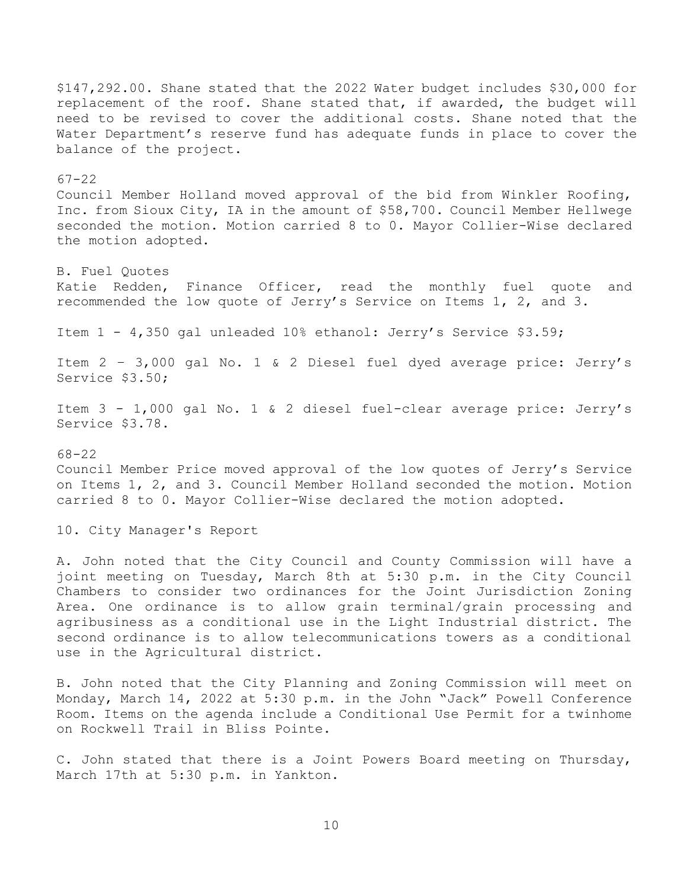\$147,292.00. Shane stated that the 2022 Water budget includes \$30,000 for replacement of the roof. Shane stated that, if awarded, the budget will need to be revised to cover the additional costs. Shane noted that the Water Department's reserve fund has adequate funds in place to cover the balance of the project. 67-22 Council Member Holland moved approval of the bid from Winkler Roofing, Inc. from Sioux City, IA in the amount of \$58,700. Council Member Hellwege seconded the motion. Motion carried 8 to 0. Mayor Collier-Wise declared the motion adopted. B. Fuel Quotes Katie Redden, Finance Officer, read the monthly fuel quote and recommended the low quote of Jerry's Service on Items 1, 2, and 3. Item 1 - 4,350 gal unleaded 10% ethanol: Jerry's Service \$3.59; Item 2 – 3,000 gal No. 1 & 2 Diesel fuel dyed average price: Jerry's Service \$3.50; Item 3 - 1,000 gal No. 1 & 2 diesel fuel-clear average price: Jerry's Service \$3.78. 68-22 Council Member Price moved approval of the low quotes of Jerry's Service on Items 1, 2, and 3. Council Member Holland seconded the motion. Motion carried 8 to 0. Mayor Collier-Wise declared the motion adopted. 10. City Manager's Report A. John noted that the City Council and County Commission will have a joint meeting on Tuesday, March 8th at 5:30 p.m. in the City Council Chambers to consider two ordinances for the Joint Jurisdiction Zoning Area. One ordinance is to allow grain terminal/grain processing and agribusiness as a conditional use in the Light Industrial district. The second ordinance is to allow telecommunications towers as a conditional use in the Agricultural district. B. John noted that the City Planning and Zoning Commission will meet on Monday, March 14, 2022 at 5:30 p.m. in the John "Jack" Powell Conference Room. Items on the agenda include a Conditional Use Permit for a twinhome on Rockwell Trail in Bliss Pointe.

C. John stated that there is a Joint Powers Board meeting on Thursday, March 17th at 5:30 p.m. in Yankton.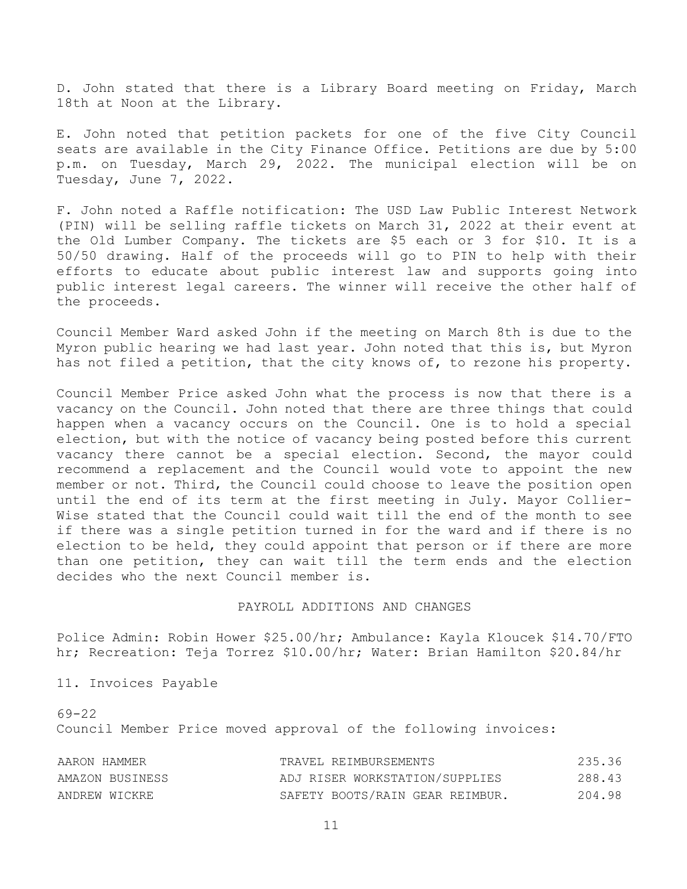D. John stated that there is a Library Board meeting on Friday, March 18th at Noon at the Library.

E. John noted that petition packets for one of the five City Council seats are available in the City Finance Office. Petitions are due by 5:00 p.m. on Tuesday, March 29, 2022. The municipal election will be on Tuesday, June 7, 2022.

F. John noted a Raffle notification: The USD Law Public Interest Network (PIN) will be selling raffle tickets on March 31, 2022 at their event at the Old Lumber Company. The tickets are \$5 each or 3 for \$10. It is a 50/50 drawing. Half of the proceeds will go to PIN to help with their efforts to educate about public interest law and supports going into public interest legal careers. The winner will receive the other half of the proceeds.

Council Member Ward asked John if the meeting on March 8th is due to the Myron public hearing we had last year. John noted that this is, but Myron has not filed a petition, that the city knows of, to rezone his property.

Council Member Price asked John what the process is now that there is a vacancy on the Council. John noted that there are three things that could happen when a vacancy occurs on the Council. One is to hold a special election, but with the notice of vacancy being posted before this current vacancy there cannot be a special election. Second, the mayor could recommend a replacement and the Council would vote to appoint the new member or not. Third, the Council could choose to leave the position open until the end of its term at the first meeting in July. Mayor Collier-Wise stated that the Council could wait till the end of the month to see if there was a single petition turned in for the ward and if there is no election to be held, they could appoint that person or if there are more than one petition, they can wait till the term ends and the election decides who the next Council member is.

# PAYROLL ADDITIONS AND CHANGES

Police Admin: Robin Hower \$25.00/hr; Ambulance: Kayla Kloucek \$14.70/FTO hr; Recreation: Teja Torrez \$10.00/hr; Water: Brian Hamilton \$20.84/hr

11. Invoices Payable

69-22 Council Member Price moved approval of the following invoices:

| AARON HAMMER    | TRAVEL REIMBURSEMENTS           | 235.36 |
|-----------------|---------------------------------|--------|
| AMAZON BUSINESS | ADJ RISER WORKSTATION/SUPPLIES  | 288.43 |
| ANDREW WICKRE   | SAFETY BOOTS/RAIN GEAR REIMBUR. | 204.98 |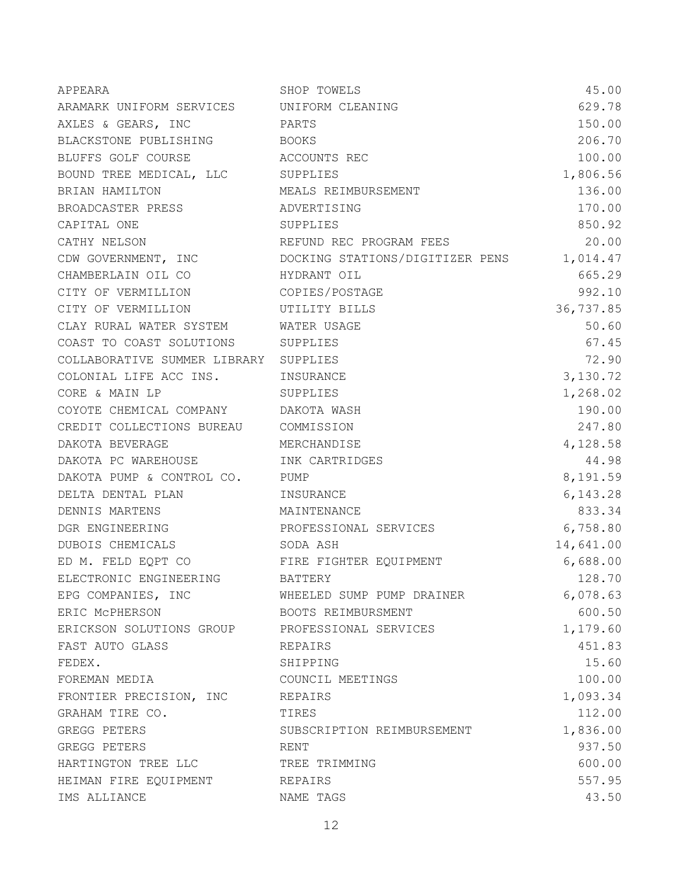| APPEARA                                   | SHOP TOWELS                                                   | 45.00     |
|-------------------------------------------|---------------------------------------------------------------|-----------|
| ARAMARK UNIFORM SERVICES UNIFORM CLEANING |                                                               | 629.78    |
| AXLES & GEARS, INC PARTS                  |                                                               | 150.00    |
| BLACKSTONE PUBLISHING BOOKS               |                                                               | 206.70    |
| BLUFFS GOLF COURSE ACCOUNTS REC           |                                                               | 100.00    |
| BOUND TREE MEDICAL, LLC SUPPLIES          |                                                               | 1,806.56  |
| BRIAN HAMILTON                            | MEALS REIMBURSEMENT                                           | 136.00    |
| BROADCASTER PRESS ADVERTISING             |                                                               | 170.00    |
| CAPITAL ONE                               | SUPPLIES                                                      | 850.92    |
| CATHY NELSON                              | REFUND REC PROGRAM FEES                                       | 20.00     |
|                                           | CDW GOVERNMENT, INC COOCKING STATIONS/DIGITIZER PENS 1,014.47 |           |
| CHAMBERLAIN OIL CO HYDRANT OIL            |                                                               | 665.29    |
| CITY OF VERMILLION COPIES/POSTAGE         |                                                               | 992.10    |
| CITY OF VERMILLION UTILITY BILLS          |                                                               | 36,737.85 |
| CLAY RURAL WATER SYSTEM WATER USAGE       |                                                               | 50.60     |
| COAST TO COAST SOLUTIONS SUPPLIES         |                                                               | 67.45     |
| COLLABORATIVE SUMMER LIBRARY SUPPLIES     |                                                               | 72.90     |
| COLONIAL LIFE ACC INS. INSURANCE          |                                                               | 3,130.72  |
| CORE & MAIN LP                            | SUPPLIES                                                      | 1,268.02  |
| COYOTE CHEMICAL COMPANY DAKOTA WASH       |                                                               | 190.00    |
| CREDIT COLLECTIONS BUREAU COMMISSION      |                                                               | 247.80    |
| DAKOTA BEVERAGE MERCHANDISE               |                                                               | 4,128.58  |
| DAKOTA PC WAREHOUSE                       | INK CARTRIDGES                                                | 44.98     |
| DAKOTA PUMP & CONTROL CO. PUMP            |                                                               | 8,191.59  |
| DELTA DENTAL PLAN                         | INSURANCE                                                     | 6,143.28  |
| DENNIS MARTENS MAINTENANCE                |                                                               | 833.34    |
| DGR ENGINEERING                           | PROFESSIONAL SERVICES                                         | 6,758.80  |
| DUBOIS CHEMICALS SODA ASH                 |                                                               | 14,641.00 |
| ED M. FELD EQPT CO FIRE FIGHTER EQUIPMENT |                                                               | 6,688.00  |
| ELECTRONIC ENGINEERING BATTERY            |                                                               | 128.70    |
| EPG COMPANIES, INC                        | WHEELED SUMP PUMP DRAINER                                     | 6,078.63  |
| ERIC MCPHERSON                            | BOOTS REIMBURSMENT                                            | 600.50    |
| ERICKSON SOLUTIONS GROUP                  | PROFESSIONAL SERVICES                                         | 1,179.60  |
| FAST AUTO GLASS                           | REPAIRS                                                       | 451.83    |
| FEDEX.                                    | SHIPPING                                                      | 15.60     |
| FOREMAN MEDIA                             | COUNCIL MEETINGS                                              | 100.00    |
| FRONTIER PRECISION, INC                   | REPAIRS                                                       | 1,093.34  |
| GRAHAM TIRE CO.                           | TIRES                                                         | 112.00    |
| GREGG PETERS                              | SUBSCRIPTION REIMBURSEMENT                                    | 1,836.00  |
| GREGG PETERS                              | RENT                                                          | 937.50    |
| HARTINGTON TREE LLC                       | TREE TRIMMING                                                 | 600.00    |
| HEIMAN FIRE EQUIPMENT                     | REPAIRS                                                       | 557.95    |
| IMS ALLIANCE                              | NAME TAGS                                                     | 43.50     |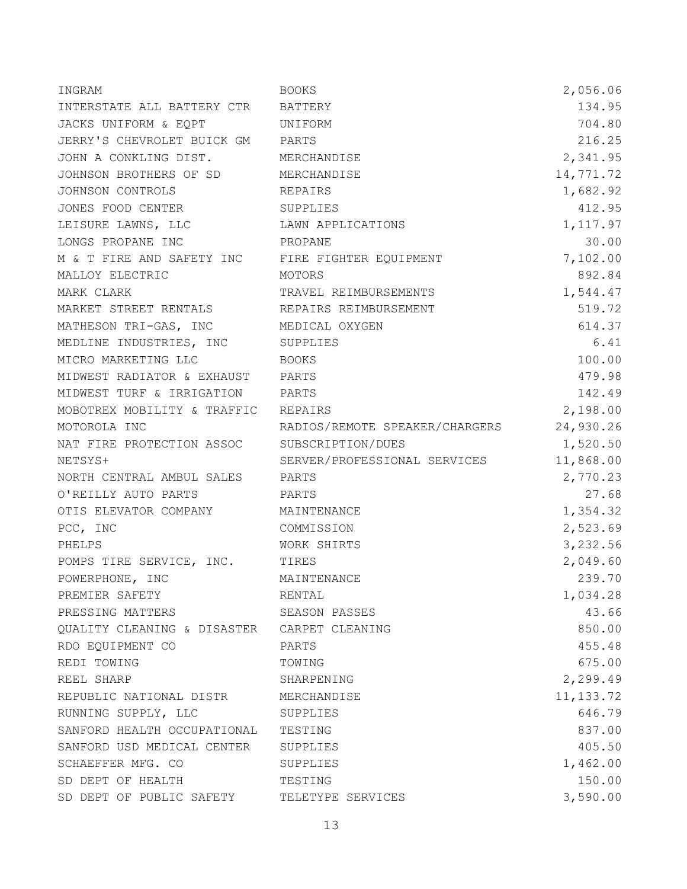| INGRAM                                                     | <b>BOOKS</b>                             | 2,056.06   |
|------------------------------------------------------------|------------------------------------------|------------|
| INTERSTATE ALL BATTERY CTR BATTERY                         |                                          | 134.95     |
| JACKS UNIFORM & EQPT UNIFORM                               |                                          | 704.80     |
| JERRY'S CHEVROLET BUICK GM PARTS                           |                                          | 216.25     |
| JOHN A CONKLING DIST. MERCHANDISE                          |                                          | 2,341.95   |
| JOHNSON BROTHERS OF SD MERCHANDISE                         |                                          | 14,771.72  |
| JOHNSON CONTROLS                                           | REPAIRS                                  | 1,682.92   |
| JONES FOOD CENTER SUPPLIES                                 |                                          | 412.95     |
| LEISURE LAWNS, LLC<br>LAWN APPLICATIONS                    |                                          | 1, 117.97  |
| LONGS PROPANE INC<br><b>PROPANE</b>                        |                                          | 30.00      |
| M & T FIRE AND SAFETY INC FIRE FIGHTER EQUIPMENT           |                                          | 7,102.00   |
| MALLOY ELECTRIC<br>MOTORS                                  |                                          | 892.84     |
| MARK CLARK                                                 | TRAVEL REIMBURSEMENTS                    | 1,544.47   |
| MARKET STREET RENTALS <b>EXAMPLE REPAIRS REIMBURSEMENT</b> |                                          | 519.72     |
| MATHESON TRI-GAS, INC MEDICAL OXYGEN                       |                                          | 614.37     |
| MEDLINE INDUSTRIES, INC SUPPLIES                           |                                          | 6.41       |
| MICRO MARKETING LLC                                        | <b>BOOKS</b>                             | 100.00     |
| MIDWEST RADIATOR & EXHAUST PARTS                           |                                          | 479.98     |
| MIDWEST TURF & IRRIGATION PARTS                            |                                          | 142.49     |
| MOBOTREX MOBILITY & TRAFFIC REPAIRS                        |                                          | 2,198.00   |
| MOTOROLA INC                                               | RADIOS/REMOTE SPEAKER/CHARGERS 24,930.26 |            |
| NAT FIRE PROTECTION ASSOC SUBSCRIPTION/DUES                |                                          | 1,520.50   |
| NETSYS+                                                    | SERVER/PROFESSIONAL SERVICES             | 11,868.00  |
| NORTH CENTRAL AMBUL SALES PARTS                            |                                          | 2,770.23   |
| O'REILLY AUTO PARTS                                        | PARTS                                    | 27.68      |
| OTIS ELEVATOR COMPANY MAINTENANCE                          |                                          | 1,354.32   |
| PCC, INC                                                   | COMMISSION                               | 2,523.69   |
| PHELPS                                                     | WORK SHIRTS                              | 3,232.56   |
| POMPS TIRE SERVICE, INC. TIRES                             |                                          | 2,049.60   |
| POWERPHONE, INC                                            | MAINTENANCE                              | 239.70     |
| PREMIER SAFETY                                             | RENTAL                                   | 1,034.28   |
| PRESSING MATTERS                                           | SEASON PASSES                            | 43.66      |
| QUALITY CLEANING & DISASTER CARPET CLEANING                |                                          | 850.00     |
| RDO EQUIPMENT CO                                           | PARTS                                    | 455.48     |
| REDI TOWING                                                | TOWING                                   | 675.00     |
| REEL SHARP                                                 | SHARPENING                               | 2,299.49   |
| REPUBLIC NATIONAL DISTR MERCHANDISE                        |                                          | 11, 133.72 |
| RUNNING SUPPLY, LLC                                        | SUPPLIES                                 | 646.79     |
| SANFORD HEALTH OCCUPATIONAL TESTING                        |                                          | 837.00     |
| SANFORD USD MEDICAL CENTER SUPPLIES                        |                                          | 405.50     |
| SCHAEFFER MFG. CO                                          | SUPPLIES                                 | 1,462.00   |
| SD DEPT OF HEALTH                                          | TESTING                                  | 150.00     |
| SD DEPT OF PUBLIC SAFETY                                   | TELETYPE SERVICES                        | 3,590.00   |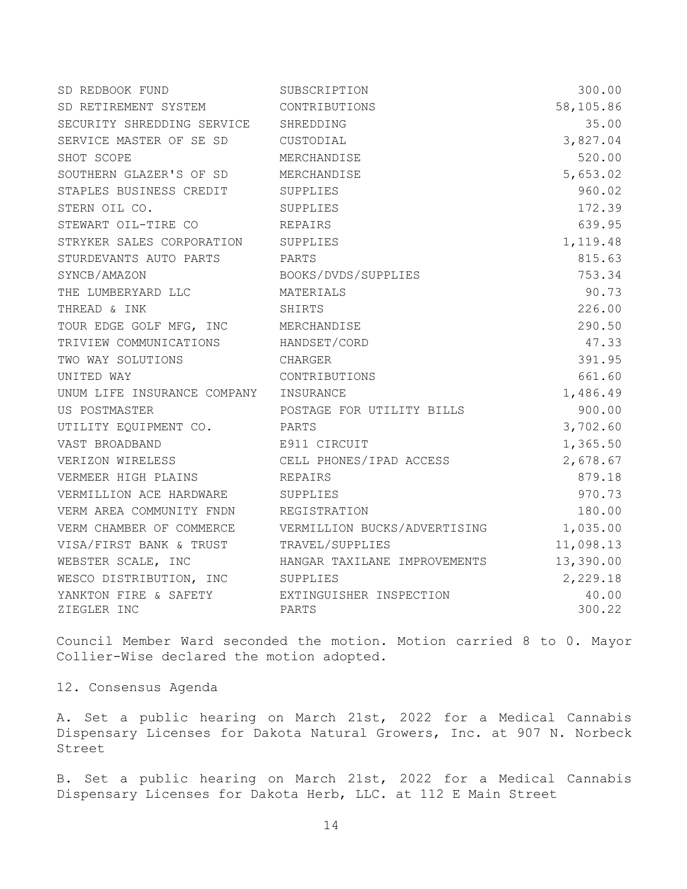| SD RETIREMENT SYSTEM                          | CONTRIBUTIONS                                         | 58,105.86       |
|-----------------------------------------------|-------------------------------------------------------|-----------------|
| SECURITY SHREDDING SERVICE SHREDDING          |                                                       | 35.00           |
| SERVICE MASTER OF SE SD                       | CUSTODIAL                                             | 3,827.04        |
| SHOT SCOPE                                    | MERCHANDISE                                           | 520.00          |
| SOUTHERN GLAZER'S OF SD                       | MERCHANDISE                                           | 5,653.02        |
| STAPLES BUSINESS CREDIT                       | SUPPLIES                                              | 960.02          |
| STERN OIL CO.                                 | SUPPLIES                                              | 172.39          |
| STEWART OIL-TIRE CO                           | REPAIRS                                               | 639.95          |
| STRYKER SALES CORPORATION                     | SUPPLIES                                              | 1,119.48        |
| STURDEVANTS AUTO PARTS                        | <b>PARTS</b>                                          | 815.63          |
| SYNCB/AMAZON                                  | BOOKS/DVDS/SUPPLIES                                   | 753.34          |
| THE LUMBERYARD LLC                            | MATERIALS                                             | 90.73           |
| THREAD & INK                                  | SHIRTS                                                | 226.00          |
| TOUR EDGE GOLF MFG, INC MERCHANDISE           |                                                       | 290.50          |
| TRIVIEW COMMUNICATIONS HANDSET/CORD           |                                                       | 47.33           |
| TWO WAY SOLUTIONS                             | CHARGER                                               | 391.95          |
| UNITED WAY                                    | CONTRIBUTIONS                                         | 661.60          |
| UNUM LIFE INSURANCE COMPANY INSURANCE         |                                                       | 1,486.49        |
| US POSTMASTER                                 | POSTAGE FOR UTILITY BILLS                             | 900.00          |
| UTILITY EQUIPMENT CO.                         | PARTS                                                 | 3,702.60        |
| VAST BROADBAND                                | E911 CIRCUIT                                          | 1,365.50        |
| VERIZON WIRELESS                              | CELL PHONES/IPAD ACCESS                               | 2,678.67        |
| VERMEER HIGH PLAINS<br><b>EXAMPLE REPAIRS</b> |                                                       | 879.18          |
| VERMILLION ACE HARDWARE SUPPLIES              |                                                       | 970.73          |
| VERM AREA COMMUNITY FNDN REGISTRATION         |                                                       | 180.00          |
|                                               | VERM CHAMBER OF COMMERCE VERMILLION BUCKS/ADVERTISING | 1,035.00        |
| VISA/FIRST BANK & TRUST TRAVEL/SUPPLIES       |                                                       | 11,098.13       |
| WEBSTER SCALE, INC                            | HANGAR TAXILANE IMPROVEMENTS                          | 13,390.00       |
| WESCO DISTRIBUTION, INC SUPPLIES              |                                                       | 2,229.18        |
| YANKTON FIRE & SAFETY<br>ZIEGLER INC          | EXTINGUISHER INSPECTION<br>PARTS                      | 40.00<br>300.22 |

Council Member Ward seconded the motion. Motion carried 8 to 0. Mayor Collier-Wise declared the motion adopted.

12. Consensus Agenda

A. Set a public hearing on March 21st, 2022 for a Medical Cannabis Dispensary Licenses for Dakota Natural Growers, Inc. at 907 N. Norbeck Street

B. Set a public hearing on March 21st, 2022 for a Medical Cannabis Dispensary Licenses for Dakota Herb, LLC. at 112 E Main Street